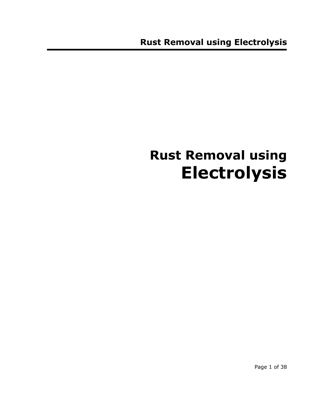# **Rust Removal using Electrolysis**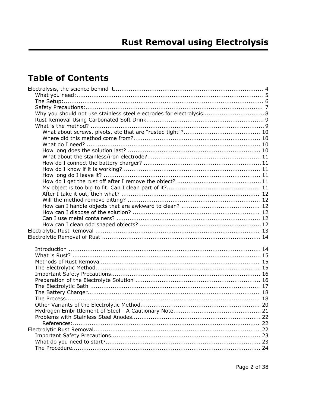# **Table of Contents**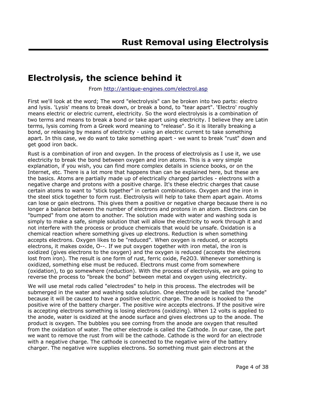# **Electrolysis, the science behind it**

#### From http://antique-engines.com/electrol.asp

First we'll look at the word; The word "electrolysis" can be broken into two parts: electro and lysis. 'Lysis' means to break down, or break a bond, to "tear apart". 'Electro' roughly means electric or electric current, electricity. So the word electrolysis is a combination of two terms and means to break a bond or take apart using electricity. I believe they are Latin terms, lysis coming from a Greek word meaning to "release". So it is literally breaking a bond, or releasing by means of electricity - using an electric current to take something apart. In this case, we do want to take something apart - we want to break "rust" down and get good iron back.

Rust is a combination of iron and oxygen. In the process of electrolysis as I use it, we use electricity to break the bond between oxygen and iron atoms. This is a very simple explanation, if you wish, you can find more complex details in science books, or on the Internet, etc. There is a lot more that happens than can be explained here, but these are the basics. Atoms are partially made up of electrically charged particles - electrons with a negative charge and protons with a positive charge. It's these electric charges that cause certain atoms to want to "stick together" in certain combinations. Oxygen and the iron in the steel stick together to form rust. Electrolysis will help to take them apart again. Atoms can lose or gain electrons. This gives them a positive or negative charge because there is no longer a balance between the number of electrons and protons in an atom. Electrons can be "bumped" from one atom to another. The solution made with water and washing soda is simply to make a safe, simple solution that will allow the electricity to work through it and not interfere with the process or produce chemicals that would be unsafe. Oxidation is a chemical reaction where something gives up electrons. Reduction is when something accepts electrons. Oxygen likes to be "reduced". When oxygen is reduced, or accepts electrons, it makes oxide, O--. If we put oxygen together with iron metal, the iron is oxidized (gives electrons to the oxygen) and the oxygen is reduced (accepts the electrons lost from iron). The result is one form of rust, ferric oxide, Fe2O3. Whenever something is oxidized, something else must be reduced. Electrons must come from somewhere (oxidation), to go somewhere (reduction). With the process of electrolysis, we are going to reverse the process to "break the bond" between metal and oxygen using electricity.

We will use metal rods called "electrodes" to help in this process. The electrodes will be submerged in the water and washing soda solution. One electrode will be called the "anode" because it will be caused to have a positive electric charge. The anode is hooked to the positive wire of the battery charger. The positive wire accepts electrons. If the positive wire is accepting electrons something is losing electrons (oxidizing). When 12 volts is applied to the anode, water is oxidized at the anode surface and gives electrons up to the anode. The product is oxygen. The bubbles you see coming from the anode are oxygen that resulted from the oxidation of water. The other electrode is called the Cathode. In our case, the part we want to remove the rust from will be the cathode. Cathode is the word for an electrode with a negative charge. The cathode is connected to the negative wire of the battery charger. The negative wire supplies electrons. So something must gain electrons at the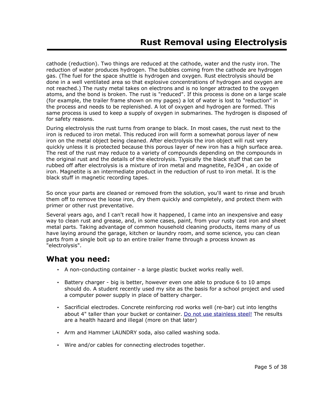cathode (reduction). Two things are reduced at the cathode, water and the rusty iron. The reduction of water produces hydrogen. The bubbles coming from the cathode are hydrogen gas. (The fuel for the space shuttle is hydrogen and oxygen. Rust electrolysis should be done in a well ventilated area so that explosive concentrations of hydrogen and oxygen are not reached.) The rusty metal takes on electrons and is no longer attracted to the oxygen atoms, and the bond is broken. The rust is "reduced". If this process is done on a large scale (for example, the trailer frame shown on my pages) a lot of water is lost to "reduction" in the process and needs to be replenished. A lot of oxygen and hydrogen are formed. This same process is used to keep a supply of oxygen in submarines. The hydrogen is disposed of for safety reasons.

During electrolysis the rust turns from orange to black. In most cases, the rust next to the iron is reduced to iron metal. This reduced iron will form a somewhat porous layer of new iron on the metal object being cleaned. After electrolysis the iron object will rust very quickly unless it is protected because this porous layer of new iron has a high surface area. The rest of the rust may reduce to a variety of compounds depending on the compounds in the original rust and the details of the electrolysis. Typically the black stuff that can be rubbed off after electrolysis is a mixture of iron metal and magnetite, Fe3O4 , an oxide of iron. Magnetite is an intermediate product in the reduction of rust to iron metal. It is the black stuff in magnetic recording tapes.

So once your parts are cleaned or removed from the solution, you'll want to rinse and brush them off to remove the loose iron, dry them quickly and completely, and protect them with primer or other rust preventative.

Several years ago, and I can't recall how it happened, I came into an inexpensive and easy way to clean rust and grease, and, in some cases, paint, from your rusty cast iron and sheet metal parts. Taking advantage of common household cleaning products, items many of us have laying around the garage, kitchen or laundry room, and some science, you can clean parts from a single bolt up to an entire trailer frame through a process known as "electrolysis".

# **What you need:**

- A non-conducting container a large plastic bucket works really well.
- Battery charger big is better, however even one able to produce 6 to 10 amps should do. A student recently used my site as the basis for a school project and used a computer power supply in place of battery charger.
- Sacrificial electrodes. Concrete reinforcing rod works well (re-bar) cut into lengths about 4" taller than your bucket or container. Do not use stainless steel! The results are a health hazard and illegal (more on that later)
- Arm and Hammer LAUNDRY soda, also called washing soda.
- Wire and/or cables for connecting electrodes together.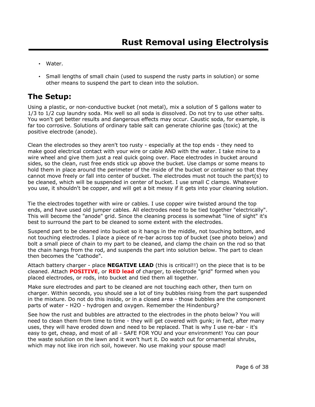- Water.
- Small lengths of small chain (used to suspend the rusty parts in solution) or some other means to suspend the part to clean into the solution.

# **The Setup:**

Using a plastic, or non-conductive bucket (not metal), mix a solution of 5 gallons water to 1/3 to 1/2 cup laundry soda. Mix well so all soda is dissolved. Do not try to use other salts. You won't get better results and dangerous effects may occur. Caustic soda, for example, is far too corrosive. Solutions of ordinary table salt can generate chlorine gas (toxic) at the positive electrode (anode).

Clean the electrodes so they aren't too rusty - especially at the top ends - they need to make good electrical contact with your wire or cable AND with the water. I take mine to a wire wheel and give them just a real quick going over. Place electrodes in bucket around sides, so the clean, rust free ends stick up above the bucket. Use clamps or some means to hold them in place around the perimeter of the inside of the bucket or container so that they cannot move freely or fall into center of bucket. The electrodes must not touch the part(s) to be cleaned, which will be suspended in center of bucket. I use small C clamps. Whatever you use, it shouldn't be copper, and will get a bit messy if it gets into your cleaning solution.

Tie the electrodes together with wire or cables. I use copper wire twisted around the top ends, and have used old jumper cables. All electrodes need to be tied together "electrically". This will become the "anode" grid. Since the cleaning process is somewhat "line of sight" it's best to surround the part to be cleaned to some extent with the electrodes.

Suspend part to be cleaned into bucket so it hangs in the middle, not touching bottom, and not touching electrodes. I place a piece of re-bar across top of bucket (see photo below) and bolt a small piece of chain to my part to be cleaned, and clamp the chain on the rod so that the chain hangs from the rod, and suspends the part into solution below. The part to clean then becomes the "cathode".

Attach battery charger - place **NEGATIVE LEAD** (this is critical!!) on the piece that is to be cleaned. Attach **POSITIVE**, or **RED lead** of charger, to electrode "grid" formed when you placed electrodes, or rods, into bucket and tied them all together.

Make sure electrodes and part to be cleaned are not touching each other, then turn on charger. Within seconds, you should see a lot of tiny bubbles rising from the part suspended in the mixture. Do not do this inside, or in a closed area - those bubbles are the component parts of water - H2O - hydrogen and oxygen. Remember the Hindenburg?

See how the rust and bubbles are attracted to the electrodes in the photo below? You will need to clean them from time to time - they will get covered with gunk; in fact, after many uses, they will have eroded down and need to be replaced. That is why I use re-bar - it's easy to get, cheap, and most of all - SAFE FOR YOU and your environment! You can pour the waste solution on the lawn and it won't hurt it. Do watch out for ornamental shrubs, which may not like iron rich soil, however. No use making your spouse mad!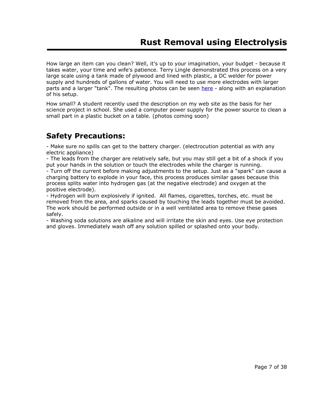How large an item can you clean? Well, it's up to your imagination, your budget - because it takes water, your time and wife's patience. Terry Lingle demonstrated this process on a very large scale using a tank made of plywood and lined with plastic, a DC welder for power supply and hundreds of gallons of water. You will need to use more electrodes with larger parts and a larger "tank". The resulting photos can be seen here - along with an explanation of his setup.

How small? A student recently used the description on my web site as the basis for her science project in school. She used a computer power supply for the power source to clean a small part in a plastic bucket on a table. (photos coming soon)

# **Safety Precautions:**

- Make sure no spills can get to the battery charger. (electrocution potential as with any electric appliance)

- The leads from the charger are relatively safe, but you may still get a bit of a shock if you put your hands in the solution or touch the electrodes while the charger is running.

- Turn off the current before making adjustments to the setup. Just as a "spark" can cause a charging battery to explode in your face, this process produces similar gases because this process splits water into hydrogen gas (at the negative electrode) and oxygen at the positive electrode).

- Hydrogen will burn explosively if ignited. All flames, cigarettes, torches, etc. must be removed from the area, and sparks caused by touching the leads together must be avoided. The work should be performed outside or in a well ventilated area to remove these gases safely.

- Washing soda solutions are alkaline and will irritate the skin and eyes. Use eye protection and gloves. Immediately wash off any solution spilled or splashed onto your body.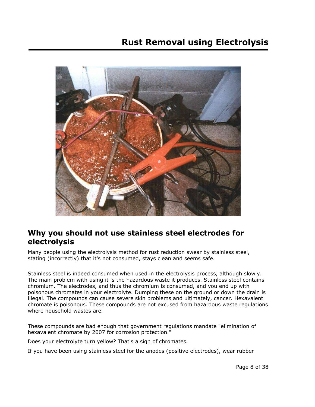# **Rust Removal using Electrolysis**



# **Why you should not use stainless steel electrodes for electrolysis**

Many people using the electrolysis method for rust reduction swear by stainless steel, stating (incorrectly) that it's not consumed, stays clean and seems safe.

Stainless steel is indeed consumed when used in the electrolysis process, although slowly. The main problem with using it is the hazardous waste it produces. Stainless steel contains chromium. The electrodes, and thus the chromium is consumed, and you end up with poisonous chromates in your electrolyte. Dumping these on the ground or down the drain is illegal. The compounds can cause severe skin problems and ultimately, cancer. Hexavalent chromate is poisonous. These compounds are not excused from hazardous waste regulations where household wastes are.

These compounds are bad enough that government regulations mandate "elimination of hexavalent chromate by 2007 for corrosion protection."

Does your electrolyte turn yellow? That's a sign of chromates.

If you have been using stainless steel for the anodes (positive electrodes), wear rubber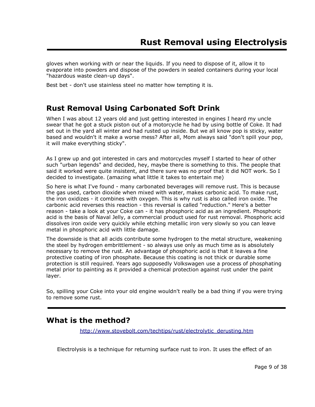gloves when working with or near the liquids. If you need to dispose of it, allow it to evaporate into powders and dispose of the powders in sealed containers during your local "hazardous waste clean-up days".

Best bet - don't use stainless steel no matter how tempting it is.

# **Rust Removal Using Carbonated Soft Drink**

When I was about 12 years old and just getting interested in engines I heard my uncle swear that he got a stuck piston out of a motorcycle he had by using bottle of Coke. It had set out in the yard all winter and had rusted up inside. But we all know pop is sticky, water based and wouldn't it make a worse mess? After all, Mom always said "don't spill your pop, it will make everything sticky".

As I grew up and got interested in cars and motorcycles myself I started to hear of other such "urban legends" and decided, hey, maybe there is something to this. The people that said it worked were quite insistent, and there sure was no proof that it did NOT work. So I decided to investigate. (amazing what little it takes to entertain me)

So here is what I've found - many carbonated beverages will remove rust. This is because the gas used, carbon dioxide when mixed with water, makes carbonic acid. To make rust, the iron oxidizes - it combines with oxygen. This is why rust is also called iron oxide. The carbonic acid reverses this reaction - this reversal is called "reduction." Here's a better reason - take a look at your Coke can - it has phosphoric acid as an ingredient. Phosphoric acid is the basis of Naval Jelly, a commercial product used for rust removal. Phosphoric acid dissolves iron oxide very quickly while etching metallic iron very slowly so you can leave metal in phosphoric acid with little damage.

The downside is that all acids contribute some hydrogen to the metal structure, weakening the steel by hydrogen embrittlement - so always use only as much time as is absolutely necessary to remove the rust. An advantage of phosphoric acid is that it leaves a fine protective coating of iron phosphate. Because this coating is not thick or durable some protection is still required. Years ago supposedly Volkswagen use a process of phosphating metal prior to painting as it provided a chemical protection against rust under the paint layer.

So, spilling your Coke into your old engine wouldn't really be a bad thing if you were trying to remove some rust.

### **What is the method?**

http ://www.stovebolt.com/techtips/rust/electrolytic\_derusting.htm

Electrolysis is a technique for returning surface rust to iron. It uses the effect of an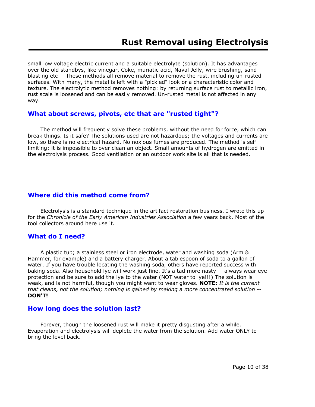small low voltage electric current and a suitable electrolyte (solution). It has advantages over the old standbys, like vinegar, Coke, muriatic acid, Naval Jelly, wire brushing, sand blasting etc -- These methods all remove material to remove the rust, including un-rusted surfaces. With many, the metal is left with a "pickled" look or a characteristic color and texture. The electrolytic method removes nothing: by returning surface rust to metallic iron, rust scale is loosened and can be easily removed. Un-rusted metal is not affected in any way.

### **What about screws, pivots, etc that are "rusted tight"?**

 The method will frequently solve these problems, without the need for force, which can break things. Is it safe? The solutions used are not hazardous; the voltages and currents are low, so there is no electrical hazard. No noxious fumes are produced. The method is self limiting: it is impossible to over clean an object. Small amounts of hydrogen are emitted in the electrolysis process. Good ventilation or an outdoor work site is all that is needed.

### **Where did this method come from?**

 Electrolysis is a standard technique in the artifact restoration business. I wrote this up for the *Chronicle of the Early American Industries Association* a few years back. Most of the tool collectors around here use it.

### **What do I need?**

 A plastic tub; a stainless steel or iron electrode, water and washing soda (Arm & Hammer, for example) and a battery charger. About a tablespoon of soda to a gallon of water. If you have trouble locating the washing soda, others have reported success with baking soda. Also household lye will work just fine. It's a tad more nasty -- always wear eye protection and be sure to add the lye to the water (NOT water to lye!!!) The solution is weak, and is not harmful, though you might want to wear gloves. **NOTE:** *It is the current that cleans, not the solution; nothing is gained by making a more concentrated solution* -- **DON'T!**

### **How long does the solution last?**

 Forever, though the loosened rust will make it pretty disgusting after a while. Evaporation and electrolysis will deplete the water from the solution. Add water ONLY to bring the level back.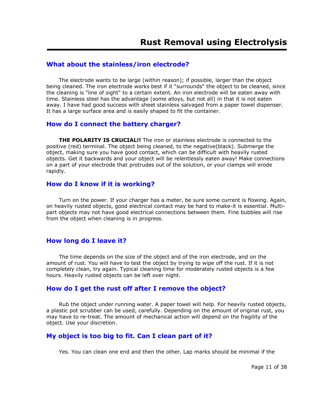### **What about the stainless/iron electrode?**

 The electrode wants to be large (within reason); if possible, larger than the object being cleaned. The iron electrode works best if it "surrounds" the object to be cleaned, since the cleaning is "line of sight" to a certain extent. An iron electrode will be eaten away with time. Stainless steel has the advantage (some alloys, but not all) in that it is not eaten away. I have had good success with sheet stainless salvaged from a paper towel dispenser. It has a large surface area and is easily shaped to fit the container.

### **How do I connect the battery charger?**

**THE POLARITY IS CRUCIAL!!** The iron or stainless electrode is connected to the positive (red) terminal. The object being cleaned, to the negative(black). Submerge the object, making sure you have good contact, which can be difficult with heavily rusted objects. Get it backwards and your object will be relentlessly eaten away! Make connections on a part of your electrode that protrudes out of the solution, or your clamps will erode rapidly.

### **How do I know if it is working?**

 Turn on the power. If your charger has a meter, be sure some current is flowing. Again, on heavily rusted objects, good electrical contact may be hard to make-it is essential. Multipart objects may not have good electrical connections between them. Fine bubbles will rise from the object when cleaning is in progress.

### **How long do I leave it?**

 The time depends on the size of the object and of the iron electrode, and on the amount of rust. You will have to test the object by trying to wipe off the rust. If it is not completely clean, try again. Typical cleaning time for moderately rusted objects is a few hours. Heavily rusted objects can be left over night.

### **How do I get the rust off after I remove the object?**

 Rub the object under running water. A paper towel will help. For heavily rusted objects, a plastic pot scrubber can be used, carefully. Depending on the amount of original rust, you may have to re-treat. The amount of mechanical action will depend on the fragility of the object. Use your discretion.

### **My object is too big to fit. Can I clean part of it?**

Yes. You can clean one end and then the other. Lap marks should be minimal if the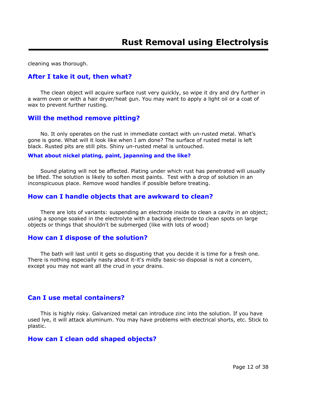cleaning was thorough.

### **After I take it out, then what?**

 The clean object will acquire surface rust very quickly, so wipe it dry and dry further in a warm oven or with a hair dryer/heat gun. You may want to apply a light oil or a coat of wax to prevent further rusting.

#### **Will the method remove pitting?**

 No. It only operates on the rust in immediate contact with un-rusted metal. What's gone is gone. What will it look like when I am done? The surface of rusted metal is left black. Rusted pits are still pits. Shiny un-rusted metal is untouched.

#### **What about nickel plating, paint, japanning and the like?**

 Sound plating will not be affected. Plating under which rust has penetrated will usually be lifted. The solution is likely to soften most paints. Test with a drop of solution in an inconspicuous place. Remove wood handles if possible before treating.

#### **How can I handle objects that are awkward to clean?**

 There are lots of variants: suspending an electrode inside to clean a cavity in an object; using a sponge soaked in the electrolyte with a backing electrode to clean spots on large objects or things that shouldn't be submerged (like with lots of wood)

#### **How can I dispose of the solution?**

 The bath will last until it gets so disgusting that you decide it is time for a fresh one. There is nothing especially nasty about it-it's mildly basic-so disposal is not a concern, except you may not want all the crud in your drains.

### **Can I use metal containers?**

 This is highly risky. Galvanized metal can introduce zinc into the solution. If you have used lye, it will attack aluminum. You may have problems with electrical shorts, etc. Stick to plastic.

### **How can I clean odd shaped objects?**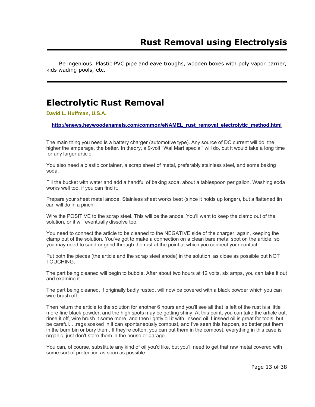Be ingenious. Plastic PVC pipe and eave troughs, wooden boxes with poly vapor barrier, kids wading pools, etc.

# **Electrolytic Rust Removal**

**David L. Huffman, U.S.A.**

**http://enews.heywoodenamels.com/common/eNAMEL\_rust\_removal\_electrolytic\_method.html**

The main thing you need is a battery charger (automotive type). Any source of DC current will do, the higher the amperage, the better. In theory, a 9-volt "Wal Mart special" will do, but it would take a long time for any larger article.

You also need a plastic container, a scrap sheet of metal, preferably stainless steel, and some baking soda.

Fill the bucket with water and add a handful of baking soda, about a tablespoon per gallon. Washing soda works well too, if you can find it.

Prepare your sheet metal anode. Stainless sheet works best (since it holds up longer), but a flattened tin can will do in a pinch.

Wire the POSITIVE to the scrap steel. This will be the anode. You'll want to keep the clamp out of the solution, or it will eventually dissolve too.

You need to connect the article to be cleaned to the NEGATIVE side of the charger, again, keeping the clamp out of the solution. You've got to make a connection on a clean bare metal spot on the article, so you may need to sand or grind through the rust at the point at which you connect your contact.

Put both the pieces (the article and the scrap steel anode) in the solution, as close as possible but NOT TOUCHING.

The part being cleaned will begin to bubble. After about two hours at 12 volts, six amps, you can take it out and examine it.

The part being cleaned, if originally badly rusted, will now be covered with a black powder which you can wire brush off.

Then return the article to the solution for another 6 hours and you'll see all that is left of the rust is a little more fine black powder, and the high spots may be getting shiny. At this point, you can take the article out, rinse it off, wire brush it some more, and then lightly oil it with linseed oil. Linseed oil is great for tools, but be careful. . .rags soaked in it can spontaneously combust, and I've seen this happen, so better put them in the burn bin or bury them. If they're cotton, you can put them in the compost, everything in this case is organic, just don't store them in the house or garage.

You can, of course, substitute any kind of oil you'd like, but you'll need to get that raw metal covered with some sort of protection as soon as possible.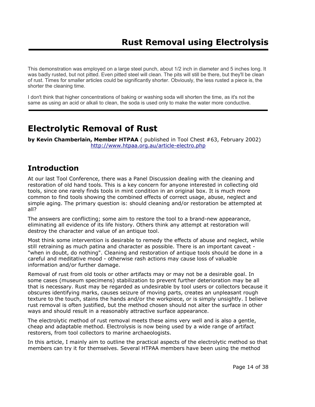This demonstration was employed on a large steel punch, about 1/2 inch in diameter and 5 inches long. It was badly rusted, but not pitted. Even pitted steel will clean. The pits will still be there, but they'll be clean of rust. Times for smaller articles could be significantly shorter. Obviously, the less rusted a piece is, the shorter the cleaning time.

I don't think that higher concentrations of baking or washing soda will shorten the time, as it's not the same as using an acid or alkali to clean, the soda is used only to make the water more conductive.

# **Electrolytic Removal of Rust**

**by Kevin Chamberlain, Member HTPAA** ( published in Tool Chest #63, February 2002) http://www.htpaa.org.au/article-electro.php

# **Introduction**

At our last Tool Conference, there was a Panel Discussion dealing with the cleaning and restoration of old hand tools. This is a key concern for anyone interested in collecting old tools, since one rarely finds tools in mint condition in an original box. It is much more common to find tools showing the combined effects of correct usage, abuse, neglect and simple aging. The primary question is: should cleaning and/or restoration be attempted at all?

The answers are conflicting; some aim to restore the tool to a brand-new appearance, eliminating all evidence of its life history. Others think any attempt at restoration will destroy the character and value of an antique tool.

Most think some intervention is desirable to remedy the effects of abuse and neglect, while still retraining as much patina and character as possible. There is an important caveat - "when in doubt, do nothing". Cleaning and restoration of antique tools should be done in a careful and meditative mood - otherwise rash actions may cause loss of valuable information and/or further damage.

Removal of rust from old tools or other artifacts may or may not be a desirable goal. In some cases (museum specimens) stabilization to prevent further deterioration may be all that is necessary. Rust may be regarded as undesirable by tool users or collectors because it obscures identifying marks, causes seizure of moving parts, creates an unpleasant rough texture to the touch, stains the hands and/or the workpiece, or is simply unsightly. I believe rust removal is often justified, but the method chosen should not alter the surface in other ways and should result in a reasonably attractive surface appearance.

The electrolytic method of rust removal meets these aims very well and is also a gentle, cheap and adaptable method. Electrolysis is now being used by a wide range of artifact restorers, from tool collectors to marine archaeologists.

In this article, I mainly aim to outline the practical aspects of the electrolytic method so that members can try it for themselves. Several HTPAA members have been using the method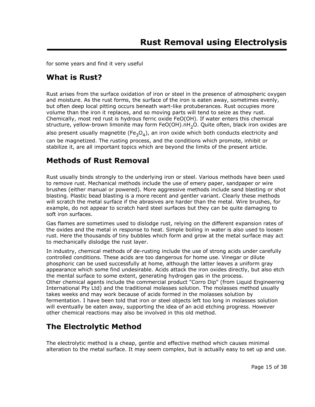for some years and find it very useful

# **What is Rust?**

Rust arises from the surface oxidation of iron or steel in the presence of atmospheric oxygen and moisture. As the rust forms, the surface of the iron is eaten away, sometimes evenly, but often deep local pitting occurs beneath wart-like protuberances. Rust occupies more volume than the iron it replaces, and so moving parts will tend to seize as they rust. Chemically, most red rust is hydrous ferric oxide FeO(OH). If water enters this chemical structure, yellow-brown limonite may form FeO(OH).nH<sub>2</sub>O. Quite often, black iron oxides are also present usually magnetite (Fe<sub>3</sub>O<sub>4</sub>), an iron oxide which both conducts electricity and can be magnetized. The rusting process, and the conditions which promote, inhibit or stabilize it, are all important topics which are beyond the limits of the present article.

### **Methods of Rust Removal**

Rust usually binds strongly to the underlying iron or steel. Various methods have been used to remove rust. Mechanical methods include the use of emery paper, sandpaper or wire brushes (either manual or powered). More aggressive methods include sand blasting or shot blasting. Plastic bead blasting is a more recent and gentler variant. Clearly these methods will scratch the metal surface if the abrasives are harder than the metal. Wire brushes, for example, do not appear to scratch hard steel surfaces but they can be quite damaging to soft iron surfaces.

Gas flames are sometimes used to dislodge rust, relying on the different expansion rates of the oxides and the metal in response to heat. Simple boiling in water is also used to loosen rust. Here the thousands of tiny bubbles which form and grow at the metal surface may act to mechanically dislodge the rust layer.

In industry, chemical methods of de-rusting include the use of strong acids under carefully controlled conditions. These acids are too dangerous for home use. Vinegar or dilute phosphoric can be used successfully at home, although the latter leaves a uniform gray appearance which some find undesirable. Acids attack the iron oxides directly, but also etch the mental surface to some extent, generating hydrogen gas in the process. Other chemical agents include the commercial product "Corro Dip" (from Liquid Engineering International Pty Ltd) and the traditional molasses solution. The molasses method usually takes weeks and may work because of acids formed in the molasses solution by fermentation. I have been told that iron or steel objects left too long in molasses solution will eventually be eaten away, supporting the idea of an acid etching progress. However other chemical reactions may also be involved in this old method.

### **The Electrolytic Method**

The electrolytic method is a cheap, gentle and effective method which causes minimal alteration to the metal surface. It may seem complex, but is actually easy to set up and use.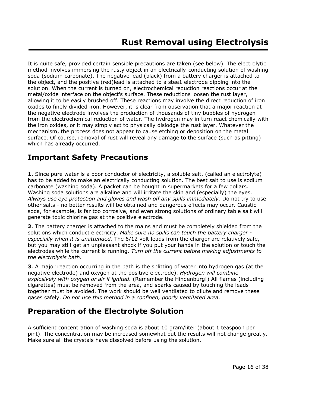It is quite safe, provided certain sensible precautions are taken (see below). The electrolytic method involves immersing the rusty object in an electrically-conducting solution of washing soda (sodium carbonate). The negative lead (black) from a battery charger is attached to the object, and the positive (red)lead is attached to a stee1 electrode dipping into the solution. When the current is turned on, electrochemical reduction reactions occur at the metal/oxide interface on the object's surface. These reductions loosen the rust layer, allowing it to be easily brushed off. These reactions may involve the direct reduction of iron oxides to finely divided iron. However, it is clear from observation that a major reaction at the negative electrode involves the production of thousands of tiny bubbles of hydrogen from the electrochemical reduction of water. The hydrogen may in turn react chemically with the iron oxides, or it may simply act to physically dislodge the rust layer. Whatever the mechanism, the process does not appear to cause etching or deposition on the metal surface. Of course, removal of rust will reveal any damage to the surface (such as pitting) which has already occurred.

# **Important Safety Precautions**

**1**. Since pure water is a poor conductor of electricity, a soluble salt, (called an electrolyte) has to be added to make an electrically conducting solution. The best salt to use is sodium carbonate (washing soda). A packet can be bought in supermarkets for a few dollars. Washing soda solutions are alkaline and will irritate the skin and (especially) the eyes. *Always use eye protection and gloves and wash off any spills immediately.* Do not try to use other salts - no better results will be obtained and dangerous effects may occur. Caustic soda, for example, is far too corrosive, and even strong solutions of ordinary table salt will generate toxic chlorine gas at the positive electrode.

**2**. The battery charger is attached to the mains and must be completely shielded from the solutions which conduct electricity. *Make sure no spills can touch the battery charger especially when it is unattended.* The 6/12 volt leads from the charger are relatively safe, but you may still get an unpleasant shock if you put your hands in the solution or touch the electrodes while the current is running. *Turn off the current before making adjustments to the electrolysis bath.*

**3**. A major reaction occurring in the bath is the splitting of water into hydrogen gas (at the negative electrode) and oxygen at the positive electrode). *Hydrogen will combine explosively with oxygen or air if ignited.* (Remember the Hindenburg!) All flames (including cigarettes) must be removed from the area, and sparks caused by touching the leads together must be avoided. The work should be well ventilated to dilute and remove these gases safely. *Do not use this method in a confined, poorly ventilated area.*

# **Preparation of the Electrolyte Solution**

A sufficient concentration of washing soda is about 10 gram/liter (about 1 teaspoon per pint). The concentration may be increased somewhat but the results will not change greatly. Make sure all the crystals have dissolved before using the solution.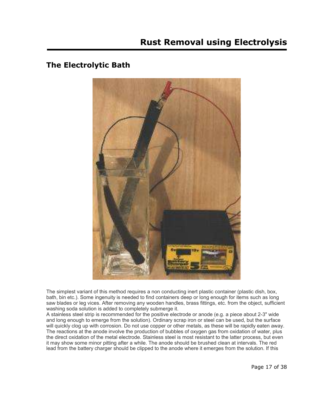### **The Electrolytic Bath**



The simplest variant of this method requires a non conducting inert plastic container (plastic dish, box, bath, bin etc.). Some ingenuity is needed to find containers deep or long enough for items such as long saw blades or leg vices. After removing any wooden handles, brass fittings, etc. from the object, sufficient washing soda solution is added to completely submerge it.

A stainless steel strip is recommended for the positive electrode or anode (e.g. a piece about 2-3" wide and long enough to emerge from the solution). Ordinary scrap iron or steel can be used, but the surface will quickly clog up with corrosion. Do not use copper or other metals, as these will be rapidly eaten away. The reactions at the anode involve the production of bubbles of oxygen gas from oxidation of water, plus the direct oxidation of the metal electrode. Stainless steel is most resistant to the latter process, but even it may show some minor pitting after a while. The anode should be brushed clean at intervals. The red lead from the battery charger should be clipped to the anode where it emerges from the solution. If this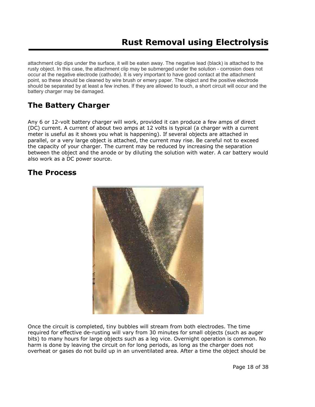attachment clip dips under the surface, it will be eaten away. The negative lead (black) is attached to the rusty object. In this case, the attachment clip may be submerged under the solution - corrosion does not occur at the negative electrode (cathode). It is very important to have good contact at the attachment point, so these should be cleaned by wire brush or emery paper. The object and the positive electrode should be separated by at least a few inches. If they are allowed to touch, a short circuit will occur and the battery charger may be damaged.

# **The Battery Charger**

Any 6 or 12-volt battery charger will work, provided it can produce a few amps of direct (DC) current. A current of about two amps at 12 volts is typical (a charger with a current meter is useful as it shows you what is happening). If several objects are attached in parallel, or a very large object is attached, the current may rise. Be careful not to exceed the capacity of your charger. The current may be reduced by increasing the separation between the object and the anode or by diluting the solution with water. A car battery would also work as a DC power source.

# **The Process**



Once the circuit is completed, tiny bubbles will stream from both electrodes. The time required for effective de-rusting will vary from 30 minutes for small objects (such as auger bits) to many hours for large objects such as a leg vice. Overnight operation is common. No harm is done by leaving the circuit on for long periods, as long as the charger does not overheat or gases do not build up in an unventilated area. After a time the object should be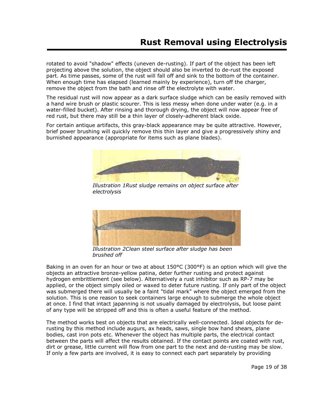rotated to avoid "shadow" effects (uneven de-rusting). If part of the object has been left projecting above the solution, the object should also be inverted to de-rust the exposed part. As time passes, some of the rust will fall off and sink to the bottom of the container. When enough time has elapsed (learned mainly by experience), turn off the charger, remove the object from the bath and rinse off the electrolyte with water.

The residual rust will now appear as a dark surface sludge which can be easily removed with a hand wire brush or plastic scourer. This is less messy when done under water (e.g. in a water-filled bucket). After rinsing and thorough drying, the object will now appear free of red rust, but there may still be a thin layer of closely-adherent black oxide.

For certain antique artifacts, this gray-black appearance may be quite attractive. However, brief power brushing will quickly remove this thin layer and give a progressively shiny and burnished appearance (appropriate for items such as plane blades).



*Illustration 1Rust sludge remains on object surface after electrolysis*



*Illustration 2Clean steel surface after sludge has been brushed off*

Baking in an oven for an hour or two at about 150°C (300°F) is an option which will give the objects an attractive bronze-yellow patina, deter further rusting and protect against hydrogen embrittlement (see below). Alternatively a rust inhibitor such as RP-7 may be applied, or the object simply oiled or waxed to deter future rusting. If only part of the object was submerged there will usually be a faint "tidal mark" where the object emerged from the solution. This is one reason to seek containers large enough to submerge the whole object at once. I find that intact japanning is not usually damaged by electrolysis, but loose paint of any type will be stripped off and this is often a useful feature of the method.

The method works best on objects that are electrically well-connected. Ideal objects for derusting by this method include augurs, ax heads, saws, single bow hand shears, plane bodies, cast iron pots etc. Whenever the object has multiple parts, the electrical contact between the parts will affect the results obtained. If the contact points are coated with rust, dirt or grease, little current will flow from one part to the next and de-rusting may be slow. If only a few parts are involved, it is easy to connect each part separately by providing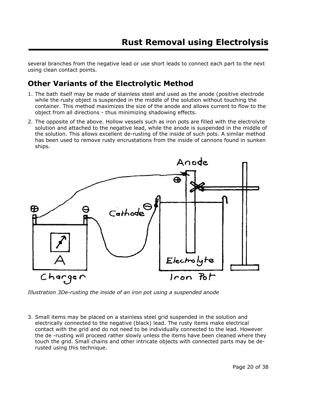several branches from the negative lead or use short leads to connect each part to the next using clean contact points.

# **Other Variants of the Electrolytic Method**

- 1. The bath itself may be made of stainless steel and used as the anode (positive electrode while the rusty object is suspended in the middle of the solution without touching the container. This method maximizes the size of the anode and allows current to flow to the object from all directions - thus minimizing shadowing effects.
- 2. The opposite of the above. Hollow vessels such as iron pots are filled with the electrolyte solution and attached to the negative lead, while the anode is suspended in the middle of the solution. This allows excellent de-rusting of the inside of such pots. A similar method has been used to remove rusty encrustations from the inside of cannons found in sunken ships.



*Illustration 3De-rusting the inside of an iron pot using a suspended anode*

3. Small items may be placed on a stainless steel grid suspended in the solution and electrically connected to the negative (black) lead. The rusty items make electrical contact with the grid and do not need to be individually connected to the lead. However the de -rusting will proceed rather slowly unless the items have been cleaned where they touch the grid. Small chains and other intricate objects with connected parts may be derusted using this technique.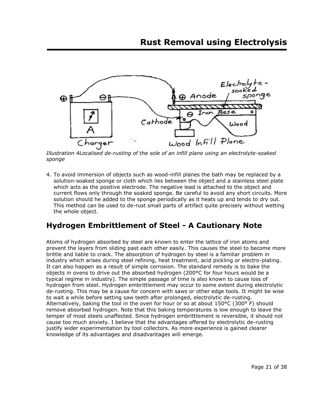

*Illustration 4Localised de-rusting of the sole of an infill plane using an electrolyte-soaked sponge*

4. To avoid immersion of objects such as wood-infill planes the bath may be replaced by a solution-soaked sponge or cloth which lies between the object and a stainless steel plate which acts as the positive electrode. The negative lead is attached to the object and current flows only through the soaked sponge. Be careful to avoid any short circuits. More solution should he added to the sponge periodically as it heats up and tends to dry out. This method can be used to de-rust small parts of artifact quite precisely without wetting the whole object.

# **Hydrogen Embrittlement of Steel - A Cautionary Note**

Atoms of hydrogen absorbed by steel are known to enter the lattice of iron atoms and prevent the layers from sliding past each other easily. This causes the steel to become more brittle and liable to crack. The absorption of hydrogen by steel is a familiar problem in industry which arises during steel refining, heat treatment, acid pickling or electro-plating. It can also happen as a result of simple corrosion. The standard remedy is to bake the objects in ovens to drive out the absorbed hydrogen (200°C for four hours would be a typical regime in industry). The simple passage of time is also known to cause loss of hydrogen from steel. Hydrogen embrittlement may occur to some extent during electrolytic de-rusting. This may be a cause for concern with saws or other edge tools. It might be wise to wait a while before setting saw teeth after prolonged, electrolytic de-rusting. Alternatively, baking the tool in the oven for hour or so at about  $150^{\circ}$ C (300° F) should remove absorbed hydrogen. Note that this baking temperatures is low enough to leave the temper of most steels unaffected. Since hydrogen embrittlement is reversible, it should not cause too much anxiety. I believe that the advantages offered by electrolytic de-rusting justify wider experimentation by tool collectors. As more experience is gained clearer knowledge of its advantages and disadvantages will emerge.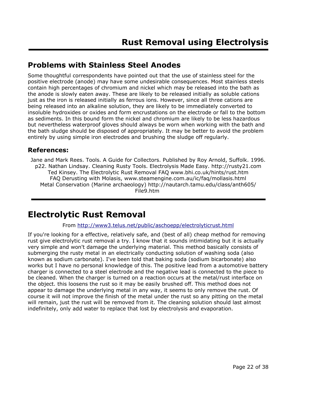# **Problems with Stainless Steel Anodes**

Some thoughtful correspondents have pointed out that the use of stainless steel for the positive electrode (anode) may have some undesirable consequences. Most stainless steels contain high percentages of chromium and nickel which may be released into the bath as the anode is slowly eaten away. These are likely to be released initially as soluble cations just as the iron is released initially as ferrous ions. However, since all three cations are being released into an alkaline solution, they are likely to be immediately converted to insoluble hydroxides or oxides and form encrustations on the electrode or fall to the bottom as sediments. In this bound form the nickel and chromium are likely to be less hazardous but nevertheless waterproof gloves should always be worn when working with the bath and the bath sludge should be disposed of appropriately. It may be better to avoid the problem entirely by using simple iron electrodes and brushing the sludge off regularly.

### **References:**

Jane and Mark Rees. Tools. A Guide for Collectors. Published by Roy Arnold, Suffolk. 1996. p22. Nathan Lindsay. Cleaning Rusty Tools. Electrolysis Made Easy. http://rusty21.com Ted Kinsey. The Electrolytic Rust Removal FAQ www.bhi.co.uk/hints/rust.htm FAQ Derusting with Molasis, www.steamengine.com.au/ic/faq/mollasis.html Metal Conservation (Marine archaeology) http://nautarch.tamu.edu/class/anth605/ File9.htm

# **Electrolytic Rust Removal**

### From http://www3.telus.net/public/aschoepp/electrolyticrust.html

If you're looking for a effective, relatively safe, and (best of all) cheap method for removing rust give electrolytic rust removal a try. I know that it sounds intimidating but it is actually very simple and won't damage the underlying material. This method basically consists of submerging the rusty metal in an electrically conducting solution of washing soda (also known as sodium carbonate). I've been told that baking soda (sodium bicarbonate) also works but I have no personal knowledge of this. The positive lead from a automotive battery charger is connected to a steel electrode and the negative lead is connected to the piece to be cleaned. When the charger is turned on a reaction occurs at the metal/rust interface on the object. this loosens the rust so it may be easily brushed off. This method does not appear to damage the underlying metal in any way, it seems to only remove the rust. Of course it will not improve the finish of the metal under the rust so any pitting on the metal will remain, just the rust will be removed from it. The cleaning solution should last almost indefinitely, only add water to replace that lost by electrolysis and evaporation.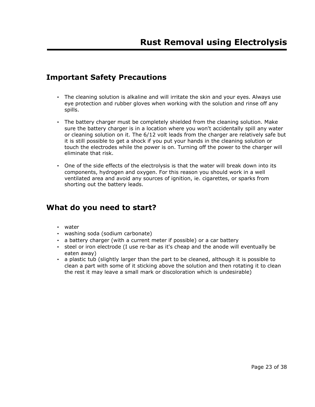# **Important Safety Precautions**

- The cleaning solution is alkaline and will irritate the skin and your eyes. Always use eye protection and rubber gloves when working with the solution and rinse off any spills.
- The battery charger must be completely shielded from the cleaning solution. Make sure the battery charger is in a location where you won't accidentally spill any water or cleaning solution on it. The 6/12 volt leads from the charger are relatively safe but it is still possible to get a shock if you put your hands in the cleaning solution or touch the electrodes while the power is on. Turning off the power to the charger will eliminate that risk.
- One of the side effects of the electrolysis is that the water will break down into its components, hydrogen and oxygen. For this reason you should work in a well ventilated area and avoid any sources of ignition, ie. cigarettes, or sparks from shorting out the battery leads.

# **What do you need to start?**

- water
- washing soda (sodium carbonate)
- a battery charger (with a current meter if possible) or a car battery
- steel or iron electrode (I use re-bar as it's cheap and the anode will eventually be eaten away)
- a plastic tub (slightly larger than the part to be cleaned, although it is possible to clean a part with some of it sticking above the solution and then rotating it to clean the rest it may leave a small mark or discoloration which is undesirable)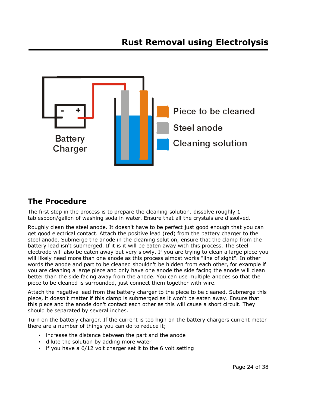

# **The Procedure**

The first step in the process is to prepare the cleaning solution. dissolve roughly 1 tablespoon/gallon of washing soda in water. Ensure that all the crystals are dissolved.

Roughly clean the steel anode. It doesn't have to be perfect just good enough that you can get good electrical contact. Attach the positive lead (red) from the battery charger to the steel anode. Submerge the anode in the cleaning solution, ensure that the clamp from the battery lead isn't submerged. If it is it will be eaten away with this process. The steel electrode will also be eaten away but very slowly. If you are trying to clean a large piece you will likely need more than one anode as this process almost works "line of sight". In other words the anode and part to be cleaned shouldn't be hidden from each other, for example if you are cleaning a large piece and only have one anode the side facing the anode will clean better than the side facing away from the anode. You can use multiple anodes so that the piece to be cleaned is surrounded, just connect them together with wire.

Attach the negative lead from the battery charger to the piece to be cleaned. Submerge this piece, it doesn't matter if this clamp is submerged as it won't be eaten away. Ensure that this piece and the anode don't contact each other as this will cause a short circuit. They should be separated by several inches.

Turn on the battery charger. If the current is too high on the battery chargers current meter there are a number of things you can do to reduce it;

- increase the distance between the part and the anode
- dilute the solution by adding more water
- if you have a 6/12 volt charger set it to the 6 volt setting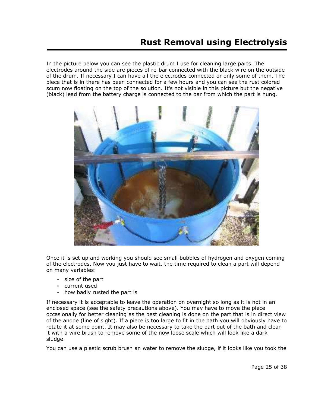In the picture below you can see the plastic drum I use for cleaning large parts. The electrodes around the side are pieces of re-bar connected with the black wire on the outside of the drum. If necessary I can have all the electrodes connected or only some of them. The piece that is in there has been connected for a few hours and you can see the rust colored scum now floating on the top of the solution. It's not visible in this picture but the negative (black) lead from the battery charge is connected to the bar from which the part is hung.



Once it is set up and working you should see small bubbles of hydrogen and oxygen coming of the electrodes. Now you just have to wait. the time required to clean a part will depend on many variables:

- size of the part
- current used
- how badly rusted the part is

If necessary it is acceptable to leave the operation on overnight so long as it is not in an enclosed space (see the safety precautions above). You may have to move the piece occasionally for better cleaning as the best cleaning is done on the part that is in direct view of the anode (line of sight). If a piece is too large to fit in the bath you will obviously have to rotate it at some point. It may also be necessary to take the part out of the bath and clean it with a wire brush to remove some of the now loose scale which will look like a dark sludge.

You can use a plastic scrub brush an water to remove the sludge, if it looks like you took the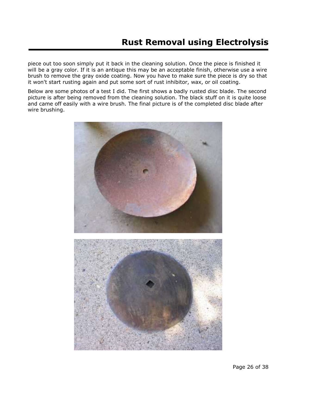piece out too soon simply put it back in the cleaning solution. Once the piece is finished it will be a gray color. If it is an antique this may be an acceptable finish, otherwise use a wire brush to remove the gray oxide coating. Now you have to make sure the piece is dry so that it won't start rusting again and put some sort of rust inhibitor, wax, or oil coating.

Below are some photos of a test I did. The first shows a badly rusted disc blade. The second picture is after being removed from the cleaning solution. The black stuff on it is quite loose and came off easily with a wire brush. The final picture is of the completed disc blade after wire brushing.

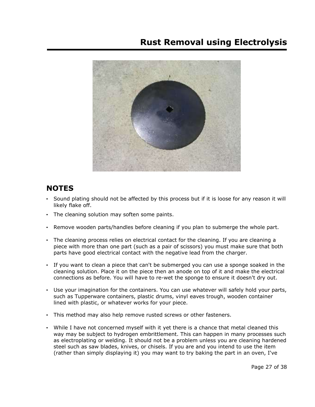

# **NOTES**

- Sound plating should not be affected by this process but if it is loose for any reason it will likely flake off.
- The cleaning solution may soften some paints.
- Remove wooden parts/handles before cleaning if you plan to submerge the whole part.
- The cleaning process relies on electrical contact for the cleaning. If you are cleaning a piece with more than one part (such as a pair of scissors) you must make sure that both parts have good electrical contact with the negative lead from the charger.
- If you want to clean a piece that can't be submerged you can use a sponge soaked in the cleaning solution. Place it on the piece then an anode on top of it and make the electrical connections as before. You will have to re-wet the sponge to ensure it doesn't dry out.
- Use your imagination for the containers. You can use whatever will safely hold your parts, such as Tupperware containers, plastic drums, vinyl eaves trough, wooden container lined with plastic, or whatever works for your piece.
- This method may also help remove rusted screws or other fasteners.
- While I have not concerned myself with it yet there is a chance that metal cleaned this way may be subject to hydrogen embrittlement. This can happen in many processes such as electroplating or welding. It should not be a problem unless you are cleaning hardened steel such as saw blades, knives, or chisels. If you are and you intend to use the item (rather than simply displaying it) you may want to try baking the part in an oven, I've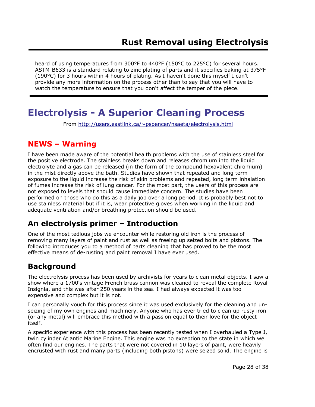heard of using temperatures from 300°F to 440°F (150°C to 225°C) for several hours. ASTM-B633 is a standard relating to zinc plating of parts and it specifies baking at 375°F (190°C) for 3 hours within 4 hours of plating. As I haven't done this myself I can't provide any more information on the process other than to say that you will have to watch the temperature to ensure that you don't affect the temper of the piece.

# **Electrolysis - A Superior Cleaning Process**

From http://users.eastlink.ca/~pspencer/nsaeta/electrolysis.html

# **NEWS – Warning**

I have been made aware of the potential health problems with the use of stainless steel for the positive electrode. The stainless breaks down and releases chromium into the liquid electrolyte and a gas can be released (in the form of the compound hexavalent chromium) in the mist directly above the bath. Studies have shown that repeated and long term exposure to the liquid increase the risk of skin problems and repeated, long term inhalation of fumes increase the risk of lung cancer. For the most part, the users of this process are not exposed to levels that should cause immediate concern. The studies have been performed on those who do this as a daily job over a long period. It is probably best not to use stainless material but if it is, wear protective gloves when working in the liquid and adequate ventilation and/or breathing protection should be used.

# **An electrolysis primer – Introduction**

One of the most tedious jobs we encounter while restoring old iron is the process of removing many layers of paint and rust as well as freeing up seized bolts and pistons. The following introduces you to a method of parts cleaning that has proved to be the most effective means of de-rusting and paint removal I have ever used.

# **Background**

The electrolysis process has been used by archivists for years to clean metal objects. I saw a show where a 1700's vintage French brass cannon was cleaned to reveal the complete Royal Insignia, and this was after 250 years in the sea. I had always expected it was too expensive and complex but it is not.

I can personally vouch for this process since it was used exclusively for the cleaning and unseizing of my own engines and machinery. Anyone who has ever tried to clean up rusty iron (or any metal) will embrace this method with a passion equal to their love for the object itself.

A specific experience with this process has been recently tested when I overhauled a Type J, twin cylinder Atlantic Marine Engine. This engine was no exception to the state in which we often find our engines. The parts that were not covered in 10 layers of paint, were heavily encrusted with rust and many parts (including both pistons) were seized solid. The engine is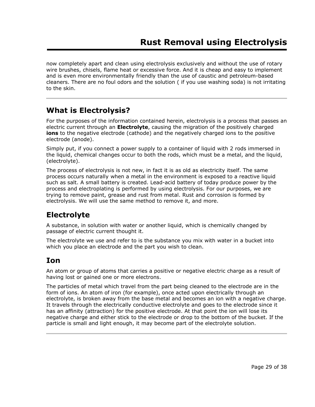now completely apart and clean using electrolysis exclusively and without the use of rotary wire brushes, chisels, flame heat or excessive force. And it is cheap and easy to implement and is even more environmentally friendly than the use of caustic and petroleum-based cleaners. There are no foul odors and the solution ( if you use washing soda) is not irritating to the skin.

# **What is Electrolysis?**

For the purposes of the information contained herein, electrolysis is a process that passes an electric current through an **Electrolyte**, causing the migration of the positively charged **ions** to the negative electrode (cathode) and the negatively charged ions to the positive electrode (anode).

Simply put, if you connect a power supply to a container of liquid with 2 rods immersed in the liquid, chemical changes occur to both the rods, which must be a metal, and the liquid, (electrolyte).

The process of electrolysis is not new, in fact it is as old as electricity itself. The same process occurs naturally when a metal in the environment is exposed to a reactive liquid such as salt. A small battery is created. Lead-acid battery of today produce power by the process and electroplating is performed by using electrolysis. For our purposes, we are trying to remove paint, grease and rust from metal. Rust and corrosion is formed by electrolysis. We will use the same method to remove it, and more.

# **Electrolyte**

A substance, in solution with water or another liquid, which is chemically changed by passage of electric current thought it.

The electrolyte we use and refer to is the substance you mix with water in a bucket into which you place an electrode and the part you wish to clean.

# **Ion**

An atom or group of atoms that carries a positive or negative electric charge as a result of having lost or gained one or more electrons.

The particles of metal which travel from the part being cleaned to the electrode are in the form of ions. An atom of iron (for example), once acted upon electrically through an electrolyte, is broken away from the base metal and becomes an ion with a negative charge. It travels through the electrically conductive electrolyte and goes to the electrode since it has an affinity (attraction) for the positive electrode. At that point the ion will lose its negative charge and either stick to the electrode or drop to the bottom of the bucket. If the particle is small and light enough, it may become part of the electrolyte solution.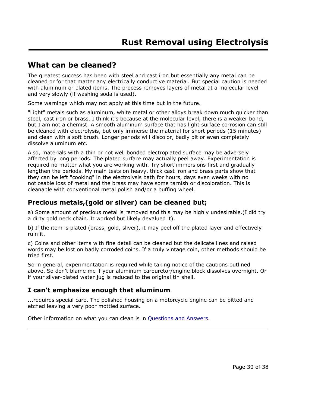### **What can be cleaned?**

The greatest success has been with steel and cast iron but essentially any metal can be cleaned or for that matter any electrically conductive material. But special caution is needed with aluminum or plated items. The process removes layers of metal at a molecular level and very slowly (if washing soda is used).

Some warnings which may not apply at this time but in the future.

"Light" metals such as aluminum, white metal or other alloys break down much quicker than steel, cast iron or brass. I think it's because at the molecular level, there is a weaker bond, but I am not a chemist. A smooth aluminum surface that has light surface corrosion can still be cleaned with electrolysis, but only immerse the material for short periods (15 minutes) and clean with a soft brush. Longer periods will discolor, badly pit or even completely dissolve aluminum etc.

Also, materials with a thin or not well bonded electroplated surface may be adversely affected by long periods. The plated surface may actually peel away. Experimentation is required no matter what you are working with. Try short immersions first and gradually lengthen the periods. My main tests on heavy, thick cast iron and brass parts show that they can be left "cooking" in the electrolysis bath for hours, days even weeks with no noticeable loss of metal and the brass may have some tarnish or discoloration. This is cleanable with conventional metal polish and/or a buffing wheel.

### **Precious metals,(gold or silver) can be cleaned but;**

a) Some amount of precious metal is removed and this may be highly undesirable.(I did try a dirty gold neck chain. It worked but likely devalued it).

b) If the item is plated (brass, gold, sliver), it may peel off the plated layer and effectively ruin it.

c) Coins and other items with fine detail can be cleaned but the delicate lines and raised words may be lost on badly corroded coins. If a truly vintage coin, other methods should be tried first.

So in general, experimentation is required while taking notice of the cautions outlined above. So don't blame me if your aluminum carburetor/engine block dissolves overnight. Or if your silver-plated water jug is reduced to the original tin shell.

### **I can't emphasize enough that aluminum**

**...**requires special care. The polished housing on a motorcycle engine can be pitted and etched leaving a very poor mottled surface.

Other information on what you can clean is in Questions and Answers.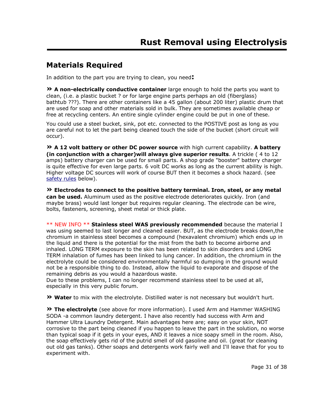# **Materials Required**

In addition to the part you are trying to clean, you need**:**

**» A non-electrically conductive container** large enough to hold the parts you want to clean, (i.e. a plastic bucket ? or for large engine parts perhaps an old (fiberglass) bathtub ???). There are other containers like a 45 gallon (about 200 liter) plastic drum that are used for soap and other materials sold in bulk. They are sometimes available cheap or free at recycling centers. An entire single cylinder engine could be put in one of these.

You could use a steel bucket, sink, pot etc. connected to the POSTIVE post as long as you are careful not to let the part being cleaned touch the side of the bucket (short circuit will occur).

**» A 12 volt battery or other DC power source** with high current capability. **A battery (in conjunction with a charger)will always give superior results**. A trickle ( 4 to 12 amps) battery charger can be used for small parts. A shop grade "booster" battery charger is quite effective for even large parts. 6 volt DC works as long as the current ability is high. Higher voltage DC sources will work of course BUT then it becomes a shock hazard. (see safety rules below).

**» Electrodes to connect to the positive battery terminal. Iron, steel, or any metal can be used.** Aluminum used as the positive electrode deteriorates quickly. Iron (and maybe brass) would last longer but requires regular cleaning. The electrode can be wire, bolts, fasteners, screening, sheet metal or thick plate.

\*\* NEW INFO \*\* **Stainless steel WAS previously recommended** because the material I was using seemed to last longer and cleaned easier. BUT, as the electrode breaks down,the chromium in stainless steel becomes a compound (hexavalent chromium) which ends up in the liquid and there is the potential for the mist from the bath to become airborne and inhaled. LONG TERM exposure to the skin has been related to skin disorders and LONG TERM inhalation of fumes has been linked to lung cancer. In addition, the chromium in the electrolyte could be considered environmentally harmful so dumping in the ground would not be a responsible thing to do. Instead, allow the liquid to evaporate and dispose of the remaining debris as you would a hazardous waste.

Due to these problems, I can no longer recommend stainless steel to be used at all, especially in this very public forum.

**» Water** to mix with the electrolyte. Distilled water is not necessary but wouldn't hurt.

**» The electrolyte** (see above for more information). I used Arm and Hammer WASHING SODA -a common laundry detergent. I have also recently had success with Arm and Hammer Ultra Laundry Detergent. Main advantages here are; easy on your skin, NOT corrosive to the part being cleaned if you happen to leave the part in the solution, no worse than typical soap if it gets in your eyes, AND it leaves a nice soapy smell in the room. Also, the soap effectively gets rid of the putrid smell of old gasoline and oil. (great for cleaning out old gas tanks). Other soaps and detergents work fairly well and I'll leave that for you to experiment with.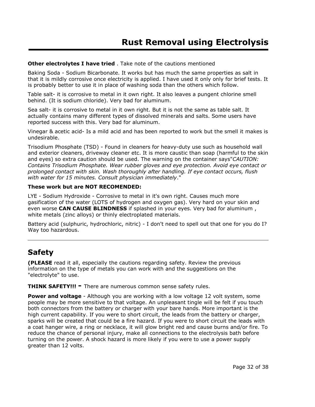### **Other electrolytes I have tried** . Take note of the cautions mentioned

Baking Soda - Sodium Bicarbonate. It works but has much the same properties as salt in that it is mildly corrosive once electricity is applied. I have used it only only for brief tests. It is probably better to use it in place of washing soda than the others which follow.

Table salt- it is corrosive to metal in it own right. It also leaves a pungent chlorine smell behind. (It is sodium chloride). Very bad for aluminum.

Sea salt- it is corrosive to metal in it own right. But it is not the same as table salt. It actually contains many different types of dissolved minerals and salts. Some users have reported success with this. Very bad for aluminum.

Vinegar & acetic acid- Is a mild acid and has been reported to work but the smell it makes is undesirable.

Trisodium Phosphate (TSD) - Found in cleaners for heavy-duty use such as household wall and exterior cleaners, driveway cleaner etc. It is more caustic than soap (harmful to the skin and eyes) so extra caution should be used. The warning on the container says"*CAUTION: Contains Trisodium Phosphate. Wear rubber gloves and eye protection. Avoid eye contact or prolonged contact with skin. Wash thoroughly after handling. If eye contact occurs, flush with water for 15 minutes. Consult physician immediately*."

#### **These work but are NOT RECOMENDED:**

LYE - Sodium Hydroxide - Corrosive to metal in it's own right. Causes much more gasification of the water (LOTS of hydrogen and oxygen gas). Very hard on your skin and even worse **CAN CAUSE BLINDNESS** if splashed in your eyes. Very bad for aluminum , white metals (zinc alloys) or thinly electroplated materials.

Battery acid (sulphuric, hydrochloric, nitric) - I don't need to spell out that one for you do I? Way too hazardous.

# **Safety**

**(PLEASE** read it all, especially the cautions regarding safety. Review the previous information on the type of metals you can work with and the suggestions on the "electrolyte" to use.

**THINK SAFETY!!! -** There are numerous common sense safety rules.

**Power and voltage** - Although you are working with a low voltage 12 volt system, some people may be more sensitive to that voltage. An unpleasant tingle will be felt if you touch both connectors from the battery or charger with your bare hands. More important is the high current capability. If you were to short circuit, the leads from the battery or charger, sparks will be created that could be a fire hazard. If you were to short circuit the leads with a coat hanger wire, a ring or necklace, it will glow bright red and cause burns and/or fire. To reduce the chance of personal injury, make all connections to the electrolysis bath before turning on the power. A shock hazard is more likely if you were to use a power supply greater than 12 volts.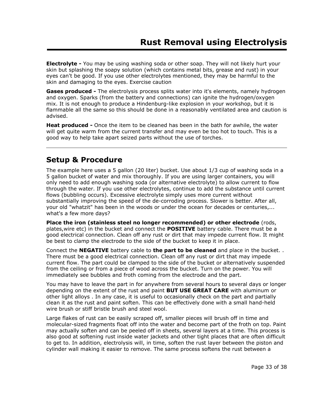**Electrolyte -** You may be using washing soda or other soap. They will not likely hurt your skin but splashing the soapy solution (which contains metal bits, grease and rust) in your eyes can't be good. If you use other electrolytes mentioned, they may be harmful to the skin and damaging to the eyes. Exercise caution

**Gases produced -** The electrolysis process splits water into it's elements, namely hydrogen and oxygen. Sparks (from the battery and connections) can ignite the hydrogen/oxygen mix. It is not enough to produce a Hindenburg-like explosion in your workshop, but it is flammable all the same so this should be done in a reasonably ventilated area and caution is advised.

**Heat produced -** Once the item to be cleaned has been in the bath for awhile, the water will get quite warm from the current transfer and may even be too hot to touch. This is a good way to help take apart seized parts without the use of torches.

### **Setup & Procedure**

The example here uses a 5 gallon (20 liter) bucket. Use about 1/3 cup of washing soda in a 5 gallon bucket of water and mix thoroughly. If you are using larger containers, you will only need to add enough washing soda (or alternative electrolyte) to allow current to flow through the water. If you use other electrolytes, continue to add the substance until current flows (bubbling occurs). Excessive electrolyte simply uses more current without substantially improving the speed of the de-corroding process. Slower is better. After all, your old "whatzit" has been in the woods or under the ocean for decades or centuries,... what's a few more days?

**Place the iron (stainless steel no longer recommended) or other electrode** (rods, plates,wire etc) in the bucket and connect the **POSITIVE** battery cable. There must be a good electrical connection. Clean off any rust or dirt that may impede current flow. It might be best to clamp the electrode to the side of the bucket to keep it in place.

Connect the **NEGATIVE** battery cable to **the part to be cleaned** and place in the bucket. . There must be a good electrical connection. Clean off any rust or dirt that may impede current flow. The part could be clamped to the side of the bucket or alternatively suspended from the ceiling or from a piece of wood across the bucket. Turn on the power. You will immediately see bubbles and froth coming from the electrode and the part.

You may have to leave the part in for anywhere from several hours to several days or longer depending on the extent of the rust and paint **BUT USE GREAT CARE** with aluminum or other light alloys . In any case, it is useful to occasionally check on the part and partially clean it as the rust and paint soften. This can be effectively done with a small hand-held wire brush or stiff bristle brush and steel wool.

Large flakes of rust can be easily scraped off, smaller pieces will brush off in time and molecular-sized fragments float off into the water and become part of the froth on top. Paint may actually soften and can be peeled off in sheets, several layers at a time. This process is also good at softening rust inside water jackets and other tight places that are often difficult to get to. In addition, electrolysis will, in time, soften the rust layer between the piston and cylinder wall making it easier to remove. The same process softens the rust between a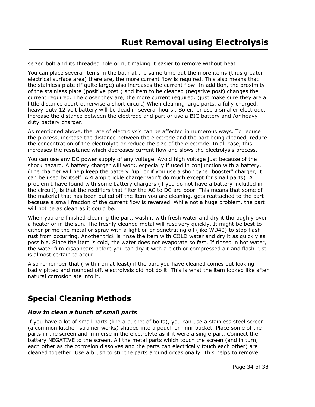seized bolt and its threaded hole or nut making it easier to remove without heat.

You can place several items in the bath at the same time but the more items (thus greater electrical surface area) there are, the more current flow is required. This also means that the stainless plate (if quite large) also increases the current flow. In addition, the proximity of the stainless plate (positive post ) and item to be cleaned (negative post) changes the current required. The closer they are, the more current required. (just make sure they are a little distance apart-otherwise a short circuit) When cleaning large parts, a fully charged, heavy-duty 12 volt battery will be dead in several hours . So either use a smaller electrode, increase the distance between the electrode and part or use a BIG battery and /or heavyduty battery charger.

As mentioned above, the rate of electrolysis can be affected in numerous ways. To reduce the process, increase the distance between the electrode and the part being cleaned, reduce the concentration of the electrolyte or reduce the size of the electrode. In all case, this increases the resistance which decreases current flow and slows the electrolysis process.

You can use any DC power supply of any voltage. Avoid high voltage just because of the shock hazard. A battery charger will work, especially if used in conjunction with a battery. (The charger will help keep the battery "up" or if you use a shop type "booster" charger, it can be used by itself. A 4 amp trickle charger won't do much except for small parts). A problem I have found with some battery chargers (if you do not have a battery included in the circuit), is that the rectifiers that filter the AC to DC are poor. This means that some of the material that has been pulled off the item you are cleaning, gets reattached to the part because a small fraction of the current flow is reversed. While not a huge problem, the part will not be as clean as it could be.

When you are finished cleaning the part, wash it with fresh water and dry it thoroughly over a heater or in the sun. The freshly cleaned metal will rust very quickly. It might be best to either prime the metal or spray with a light oil or penetrating oil (like WD40) to stop flash rust from occurring. Another trick is rinse the item with COLD water and dry it as quickly as possible. Since the item is cold, the water does not evaporate so fast. If rinsed in hot water, the water film disappears before you can dry it with a cloth or compressed air and flash rust is almost certain to occur.

Also remember that ( with iron at least) if the part you have cleaned comes out looking badly pitted and rounded off, electrolysis did not do it. This is what the item looked like after natural corrosion ate into it.

# **Special Cleaning Methods**

### *How to clean a bunch of small parts*

If you have a lot of small parts (like a bucket of bolts), you can use a stainless steel screen (a common kitchen strainer works) shaped into a pouch or mini-bucket. Place some of the parts in the screen and immerse in the electrolyte as if it were a single part. Connect the battery NEGATIVE to the screen. All the metal parts which touch the screen (and in turn, each other as the corrosion dissolves and the parts can electrically touch each other) are cleaned together. Use a brush to stir the parts around occasionally. This helps to remove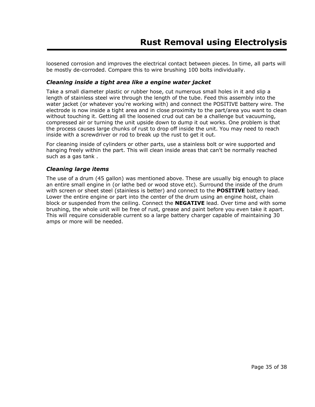loosened corrosion and improves the electrical contact between pieces. In time, all parts will be mostly de-corroded. Compare this to wire brushing 100 bolts individually.

#### *Cleaning inside a tight area like a engine water jacket*

Take a small diameter plastic or rubber hose, cut numerous small holes in it and slip a length of stainless steel wire through the length of the tube. Feed this assembly into the water jacket (or whatever you're working with) and connect the POSITIVE battery wire. The electrode is now inside a tight area and in close proximity to the part/area you want to clean without touching it. Getting all the loosened crud out can be a challenge but vacuuming, compressed air or turning the unit upside down to dump it out works. One problem is that the process causes large chunks of rust to drop off inside the unit. You may need to reach inside with a screwdriver or rod to break up the rust to get it out.

For cleaning inside of cylinders or other parts, use a stainless bolt or wire supported and hanging freely within the part. This will clean inside areas that can't be normally reached such as a gas tank .

#### *Cleaning large items*

The use of a drum (45 gallon) was mentioned above. These are usually big enough to place an entire small engine in (or lathe bed or wood stove etc). Surround the inside of the drum with screen or sheet steel (stainless is better) and connect to the **POSITIVE** battery lead. Lower the entire engine or part into the center of the drum using an engine hoist, chain block or suspended from the ceiling. Connect the **NEGATIVE** lead. Over time and with some brushing, the whole unit will be free of rust, grease and paint before you even take it apart. This will require considerable current so a large battery charger capable of maintaining 30 amps or more will be needed.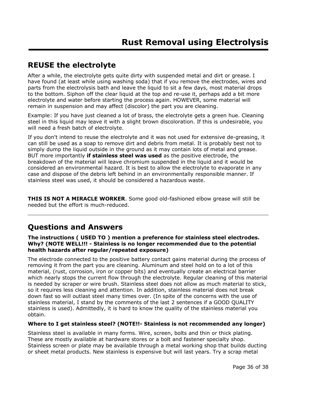# **REUSE the electrolyte**

After a while, the electrolyte gets quite dirty with suspended metal and dirt or grease. I have found (at least while using washing soda) that if you remove the electrodes, wires and parts from the electrolysis bath and leave the liquid to sit a few days, most material drops to the bottom. Siphon off the clear liquid at the top and re-use it, perhaps add a bit more electrolyte and water before starting the process again. HOWEVER, some material will remain in suspension and may affect (discolor) the part you are cleaning.

Example: If you have just cleaned a lot of brass, the electrolyte gets a green hue. Cleaning steel in this liquid may leave it with a slight brown discoloration. If this is undesirable, you will need a fresh batch of electrolyte.

If you don't intend to reuse the electrolyte and it was not used for extensive de-greasing, it can still be used as a soap to remove dirt and debris from metal. It is probably best not to simply dump the liquid outside in the ground as it may contain lots of metal and grease. BUT more importantly **if stainless steel was used** as the positive electrode, the breakdown of the material will leave chromium suspended in the liquid and it would be considered an environmental hazard. It is best to allow the electrolyte to evaporate in any case and dispose of the debris left behind in an environmentally responsible manner. If stainless steel was used, it should be considered a hazardous waste.

**THIS IS NOT A MIRACLE WORKER**. Some good old-fashioned elbow grease will still be needed but the effort is much-reduced.

# **Questions and Answers**

**The instructions ( USED TO ) mention a preference for stainless steel electrodes. Why? (NOTE WELL!!! - Stainless is no longer recommended due to the potential health hazards after regular/repeated exposure)**

The electrode connected to the positive battery contact gains material during the process of removing it from the part you are cleaning. Aluminum and steel hold on to a lot of this material, (rust, corrosion, iron or copper bits) and eventually create an electrical barrier which nearly stops the current flow through the electrolyte. Regular cleaning of this material is needed by scraper or wire brush. Stainless steel does not allow as much material to stick, so it requires less cleaning and attention. In addition, stainless material does not break down fast so will outlast steel many times over. (In spite of the concerns with the use of stainless material, I stand by the comments of the last 2 sentences if a GOOD QUALITY stainless is used). Admittedly, it is hard to know the quality of the stainless material you obtain.

### **Where to I get stainless steel? (NOTE!!- Stainless is not recommended any longer)**

Stainless steel is available in many forms. Wire, screen, bolts and thin or thick plating. These are mostly available at hardware stores or a bolt and fastener specialty shop. Stainless screen or plate may be available through a metal working shop that builds ducting or sheet metal products. New stainless is expensive but will last years. Try a scrap metal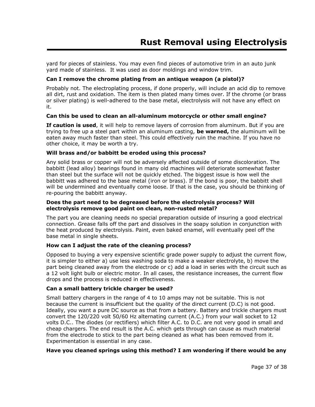yard for pieces of stainless. You may even find pieces of automotive trim in an auto junk yard made of stainless. It was used as door moldings and window trim.

#### **Can I remove the chrome plating from an antique weapon (a pistol)?**

Probably not. The electroplating process, if done properly, will include an acid dip to remove all dirt, rust and oxidation. The item is then plated many times over. If the chrome (or brass or silver plating) is well-adhered to the base metal, electrolysis will not have any effect on it.

#### **Can this be used to clean an all-aluminum motorcycle or other small engine?**

**If caution is used**, it will help to remove layers of corrosion from aluminum. But if you are trying to free up a steel part within an aluminum casting, **be warned,** the aluminum will be eaten away much faster than steel. This could effectively ruin the machine. If you have no other choice, it may be worth a try.

#### **Will brass and/or babbitt be eroded using this process?**

Any solid brass or copper will not be adversely affected outside of some discoloration. The babbitt (lead alloy) bearings found in many old machines will deteriorate somewhat faster than steel but the surface will not be quickly etched. The biggest issue is how well the babbitt was adhered to the base metal (iron or brass). If the bond is poor, the babbitt shell will be undermined and eventually come loose. If that is the case, you should be thinking of re-pouring the babbitt anyway.

#### **Does the part need to be degreased before the electrolysis process? Will electrolysis remove good paint on clean, non-rusted metal?**

The part you are cleaning needs no special preparation outside of insuring a good electrical connection. Grease falls off the part and dissolves in the soapy solution in conjunction with the heat produced by electrolysis. Paint, even baked enamel, will eventually peel off the base metal in single sheets.

#### **How can I adjust the rate of the cleaning process?**

Opposed to buying a very expensive scientific grade power supply to adjust the current flow, it is simpler to either a) use less washing soda to make a weaker electrolyte, b) move the part being cleaned away from the electrode or c) add a load in series with the circuit such as a 12 volt light bulb or electric motor. In all cases, the resistance increases, the current flow drops and the process is reduced in effectiveness.

### **Can a small battery trickle charger be used?**

Small battery chargers in the range of 4 to 10 amps may not be suitable. This is not because the current is insufficient but the quality of the direct current (D.C) is not good. Ideally, you want a pure DC source as that from a battery. Battery and trickle chargers must convert the 120/220 volt 50/60 Hz alternating current (A.C.) from your wall socket to 12 volts D.C.. The diodes (or rectifiers) which filter A.C. to D.C. are not very good in small and cheap chargers. The end result is the A.C. which gets through can cause as much material from the electrode to stick to the part being cleaned as what has been removed from it. Experimentation is essential in any case.

### **Have you cleaned springs using this method? I am wondering if there would be any**